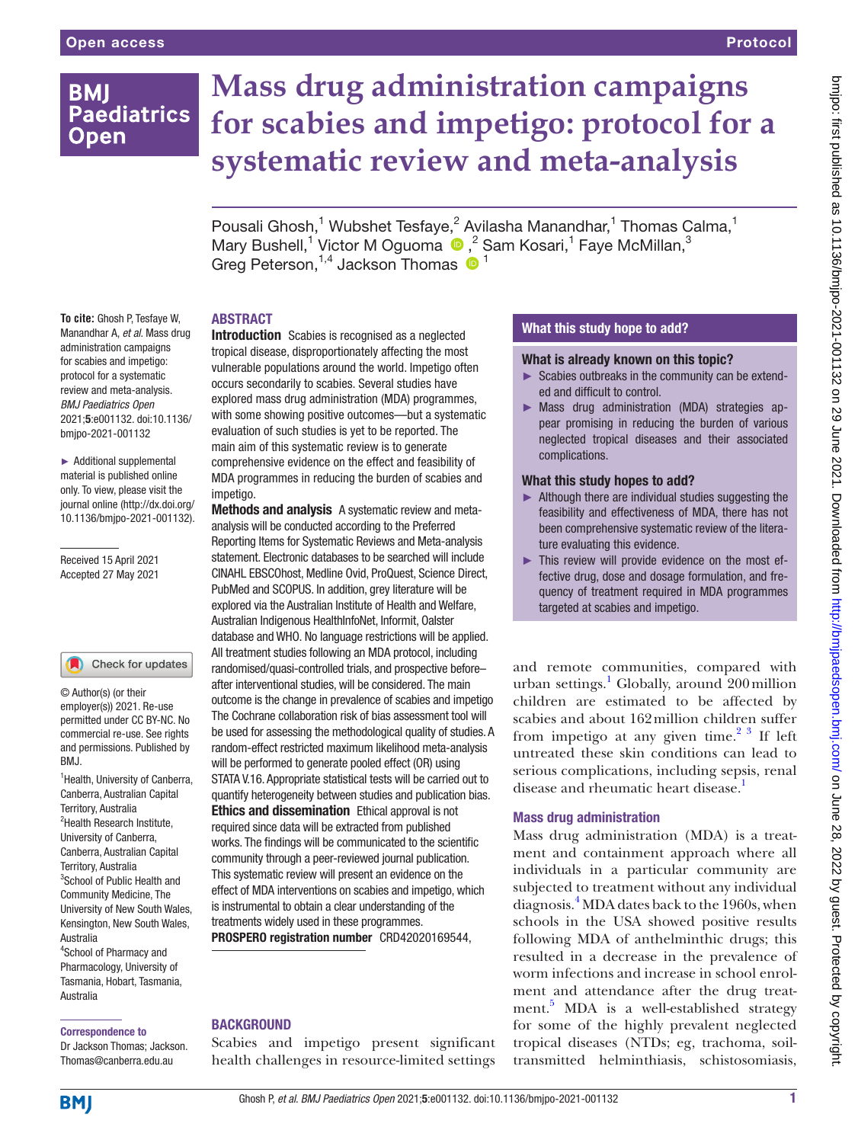## **BMI Paediatrics Open**

# **Mass drug administration campaigns for scabies and impetigo: protocol for a systematic review and meta-analysis**

Pousali Ghosh,<sup>1</sup> Wubshet Tesfaye,<sup>2</sup> Avilasha Manandhar,<sup>1</sup> Thomas Calma,<sup>1</sup> MaryBushell,<sup>1</sup> Victor M Oguoma <sup>®</sup>,<sup>2</sup> Sam Kosari,<sup>1</sup> Faye McMillan,<sup>3</sup> Greg Peterson,  $1,4$  Jackson Thomas  $\bullet$  <sup>1</sup>

#### ABSTRACT

**To cite:** Ghosh P, Tesfaye W, Manandhar A, *et al*. Mass drug administration campaigns for scabies and impetigo: protocol for a systematic review and meta-analysis. *BMJ Paediatrics Open* 2021;5:e001132. doi:10.1136/ bmjpo-2021-001132

► Additional supplemental material is published online only. To view, please visit the journal online ([http://dx.doi.org/](http://dx.doi.org/10.1136/bmjpo-2021-001132) [10.1136/bmjpo-2021-001132\)](http://dx.doi.org/10.1136/bmjpo-2021-001132).

Received 15 April 2021 Accepted 27 May 2021

## Check for updates

© Author(s) (or their employer(s)) 2021. Re-use permitted under CC BY-NC. No commercial re-use. See rights and permissions. Published by BMJ.

<sup>1</sup> Health, University of Canberra, Canberra, Australian Capital Territory, Australia <sup>2</sup>Health Research Institute, University of Canberra, Canberra, Australian Capital Territory, Australia <sup>3</sup>School of Public Health and Community Medicine, The University of New South Wales, Kensington, New South Wales, Australia 4 School of Pharmacy and Pharmacology, University of Tasmania, Hobart, Tasmania, Australia

#### Correspondence to

Dr Jackson Thomas; Jackson. Thomas@canberra.edu.au

Introduction Scabies is recognised as a neglected tropical disease, disproportionately affecting the most vulnerable populations around the world. Impetigo often occurs secondarily to scabies. Several studies have explored mass drug administration (MDA) programmes, with some showing positive outcomes—but a systematic evaluation of such studies is yet to be reported. The main aim of this systematic review is to generate comprehensive evidence on the effect and feasibility of MDA programmes in reducing the burden of scabies and impetigo.

Methods and analysis A systematic review and metaanalysis will be conducted according to the Preferred Reporting Items for Systematic Reviews and Meta-analysis statement. Electronic databases to be searched will include CINAHL EBSCOhost, Medline Ovid, ProQuest, Science Direct, PubMed and SCOPUS. In addition, grey literature will be explored via the Australian Institute of Health and Welfare, Australian Indigenous HealthInfoNet, Informit, OaIster database and WHO. No language restrictions will be applied. All treatment studies following an MDA protocol, including randomised/quasi-controlled trials, and prospective before– after interventional studies, will be considered. The main outcome is the change in prevalence of scabies and impetigo The Cochrane collaboration risk of bias assessment tool will be used for assessing the methodological quality of studies. A random-effect restricted maximum likelihood meta-analysis will be performed to generate pooled effect (OR) using STATA V.16. Appropriate statistical tests will be carried out to quantify heterogeneity between studies and publication bias. Ethics and dissemination Ethical approval is not required since data will be extracted from published works. The findings will be communicated to the scientific community through a peer-reviewed journal publication. This systematic review will present an evidence on the effect of MDA interventions on scabies and impetigo, which is instrumental to obtain a clear understanding of the treatments widely used in these programmes.

PROSPERO registration number CRD42020169544,

## **BACKGROUND**

Scabies and impetigo present significant health challenges in resource-limited settings

## What this study hope to add?

#### What is already known on this topic?

- ► Scabies outbreaks in the community can be extended and difficult to control.
- ► Mass drug administration (MDA) strategies appear promising in reducing the burden of various neglected tropical diseases and their associated complications.

#### What this study hopes to add?

- ► Although there are individual studies suggesting the feasibility and effectiveness of MDA, there has not been comprehensive systematic review of the literature evaluating this evidence.
- ► This review will provide evidence on the most effective drug, dose and dosage formulation, and frequency of treatment required in MDA programmes targeted at scabies and impetigo.

and remote communities, compared with urban settings.<sup>1</sup> Globally, around 200 million children are estimated to be affected by scabies and about 162million children suffer from impetigo at any given time. $2^3$  If left untreated these skin conditions can lead to serious complications, including sepsis, renal disease and rheumatic heart disease.<sup>[1](#page-3-1)</sup>

#### Mass drug administration

Mass drug administration (MDA) is a treatment and containment approach where all individuals in a particular community are subjected to treatment without any individual diagnosis[.4](#page-3-2) MDA dates back to the 1960s, when schools in the USA showed positive results following MDA of anthelminthic drugs; this resulted in a decrease in the prevalence of worm infections and increase in school enrolment and attendance after the drug treat-ment.<sup>[5](#page-3-3)</sup> MDA is a well-established strategy for some of the highly prevalent neglected tropical diseases (NTDs; eg, trachoma, soiltransmitted helminthiasis, schistosomiasis,

**BMJ**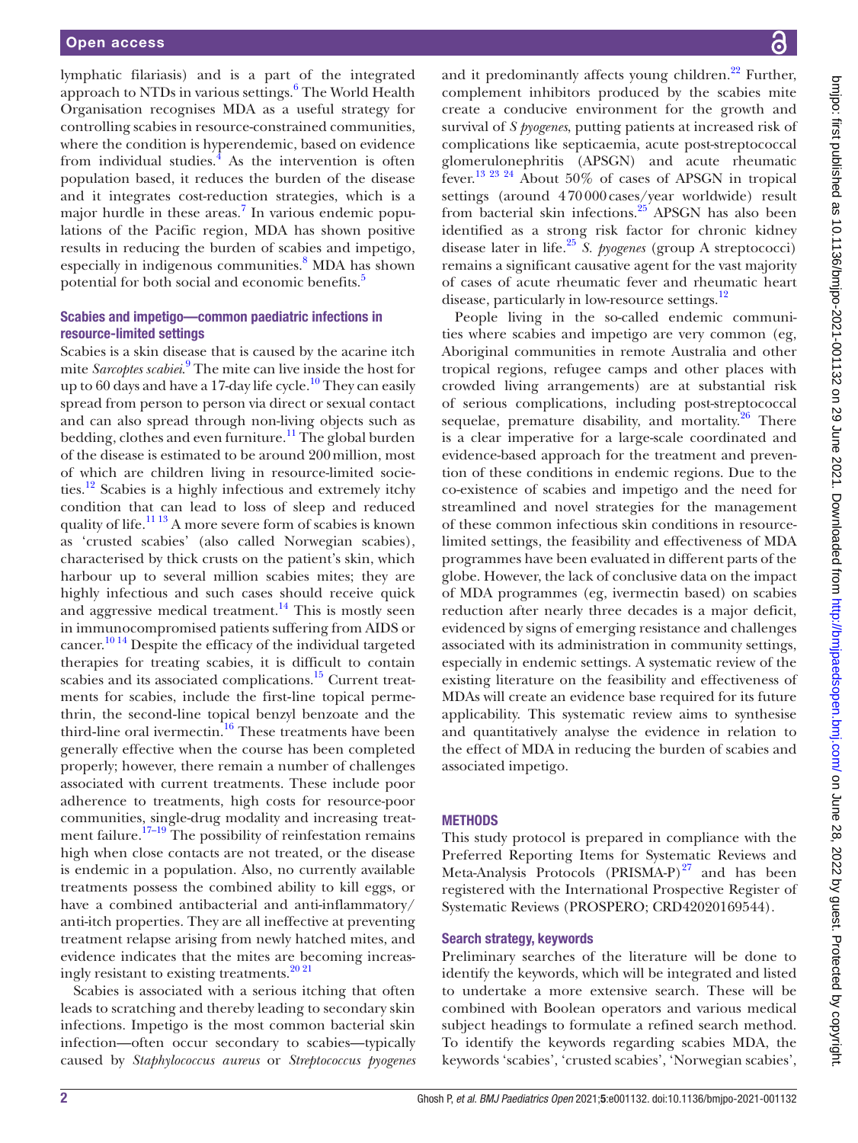lymphatic filariasis) and is a part of the integrated approach to NTDs in various settings.<sup>[6](#page-3-4)</sup> The World Health Organisation recognises MDA as a useful strategy for controlling scabies in resource-constrained communities, where the condition is hyperendemic, based on evidence from individual studies. $\frac{1}{4}$  As the intervention is often population based, it reduces the burden of the disease and it integrates cost-reduction strategies, which is a major hurdle in these areas.<sup>[7](#page-3-5)</sup> In various endemic populations of the Pacific region, MDA has shown positive results in reducing the burden of scabies and impetigo, especially in indigenous communities.<sup>8</sup> MDA has shown potential for both social and economic benefits.<sup>[5](#page-3-3)</sup>

#### Scabies and impetigo—common paediatric infections in resource-limited settings

Scabies is a skin disease that is caused by the acarine itch mite *Sarcoptes scabiei*. [9](#page-3-7) The mite can live inside the host for up to 60 days and have a 17-day life cycle.<sup>10</sup> They can easily spread from person to person via direct or sexual contact and can also spread through non-living objects such as bedding, clothes and even furniture.<sup>11</sup> The global burden of the disease is estimated to be around 200million, most of which are children living in resource-limited socie-ties.<sup>[12](#page-3-10)</sup> Scabies is a highly infectious and extremely itchy condition that can lead to loss of sleep and reduced quality of life[.11 13](#page-3-9) A more severe form of scabies is known as 'crusted scabies' (also called Norwegian scabies), characterised by thick crusts on the patient's skin, which harbour up to several million scabies mites; they are highly infectious and such cases should receive quick and aggressive medical treatment.<sup>14</sup> This is mostly seen in immunocompromised patients suffering from AIDS or cancer.<sup>1014</sup> Despite the efficacy of the individual targeted therapies for treating scabies, it is difficult to contain scabies and its associated complications.<sup>15</sup> Current treatments for scabies, include the first-line topical permethrin, the second‐line topical benzyl benzoate and the third‐line oral ivermectin.[16](#page-3-13) These treatments have been generally effective when the course has been completed properly; however, there remain a number of challenges associated with current treatments. These include poor adherence to treatments, high costs for resource-poor communities, single-drug modality and increasing treatment failure.<sup>17–19</sup> The possibility of reinfestation remains high when close contacts are not treated, or the disease is endemic in a population. Also, no currently available treatments possess the combined ability to kill eggs, or have a combined antibacterial and anti-inflammatory/ anti-itch properties. They are all ineffective at preventing treatment relapse arising from newly hatched mites, and evidence indicates that the mites are becoming increasingly resistant to existing treatments[.20 21](#page-3-15)

Scabies is associated with a serious itching that often leads to scratching and thereby leading to secondary skin infections. Impetigo is the most common bacterial skin infection—often occur secondary to scabies—typically caused by *Staphylococcus aureus* or *Streptococcus pyogenes*

and it predominantly affects young children.<sup>22</sup> Further, complement inhibitors produced by the scabies mite create a conducive environment for the growth and survival of *S pyogenes*, putting patients at increased risk of complications like septicaemia, acute post-streptococcal glomerulonephritis (APSGN) and acute rheumatic fever[.13 23 24](#page-3-16) About 50% of cases of APSGN in tropical settings (around 470000cases/year worldwide) result from bacterial skin infections.<sup>25</sup> APSGN has also been identified as a strong risk factor for chronic kidney disease later in life.[25](#page-4-1) *S. pyogenes* (group A streptococci) remains a significant causative agent for the vast majority of cases of acute rheumatic fever and rheumatic heart disease, particularly in low-resource settings.<sup>[12](#page-3-10)</sup>

People living in the so-called endemic communities where scabies and impetigo are very common (eg, Aboriginal communities in remote Australia and other tropical regions, refugee camps and other places with crowded living arrangements) are at substantial risk of serious complications, including post-streptococcal sequelae, premature disability, and mortality. $26$  There is a clear imperative for a large-scale coordinated and evidence-based approach for the treatment and prevention of these conditions in endemic regions. Due to the co-existence of scabies and impetigo and the need for streamlined and novel strategies for the management of these common infectious skin conditions in resourcelimited settings, the feasibility and effectiveness of MDA programmes have been evaluated in different parts of the globe. However, the lack of conclusive data on the impact of MDA programmes (eg, ivermectin based) on scabies reduction after nearly three decades is a major deficit, evidenced by signs of emerging resistance and challenges associated with its administration in community settings, especially in endemic settings. A systematic review of the existing literature on the feasibility and effectiveness of MDAs will create an evidence base required for its future applicability. This systematic review aims to synthesise and quantitatively analyse the evidence in relation to the effect of MDA in reducing the burden of scabies and associated impetigo.

#### **METHODS**

This study protocol is prepared in compliance with the Preferred Reporting Items for Systematic Reviews and Meta-Analysis Protocols (PRISMA-P) $^{27}$  and has been registered with the International Prospective Register of Systematic Reviews (PROSPERO; [CRD42020169544](https://www.crd.york.ac.uk/prospero/display_record.php?RecordID=169544)).

## Search strategy, keywords

Preliminary searches of the literature will be done to identify the keywords, which will be integrated and listed to undertake a more extensive search. These will be combined with Boolean operators and various medical subject headings to formulate a refined search method. To identify the keywords regarding scabies MDA, the keywords 'scabies', 'crusted scabies', 'Norwegian scabies',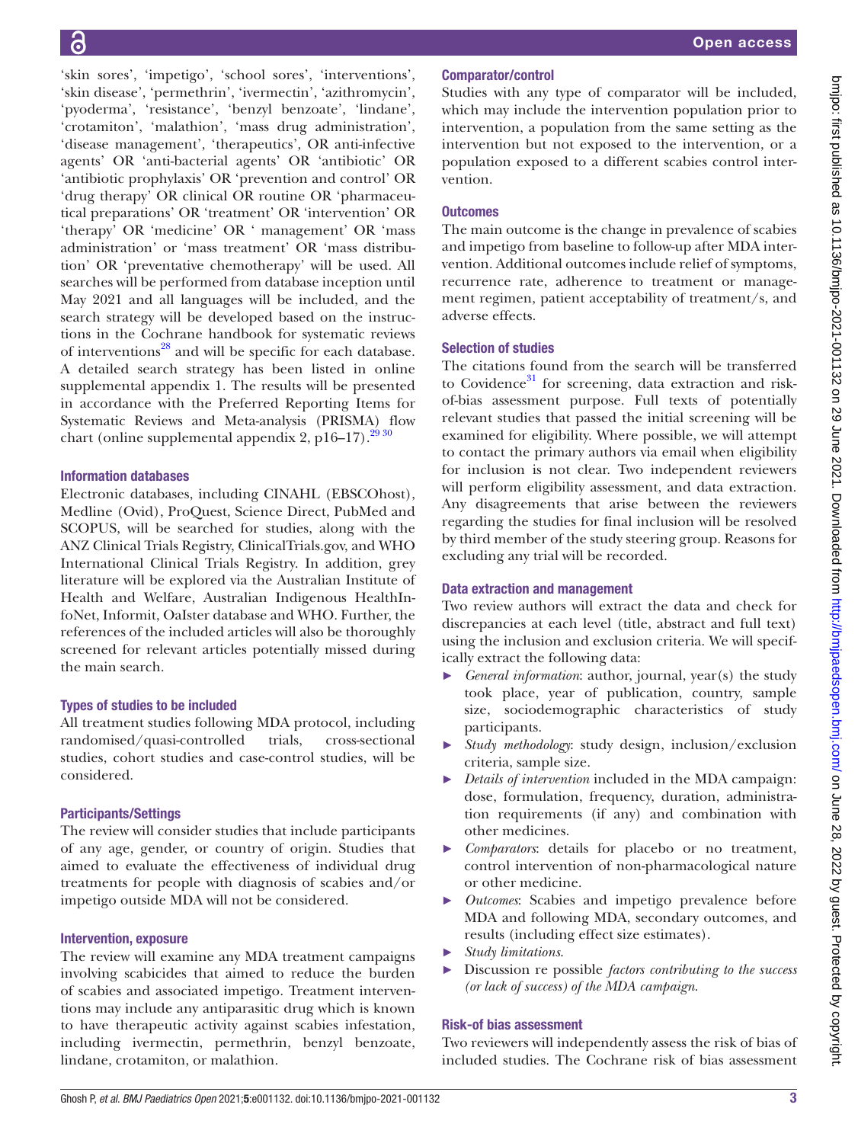'skin sores', 'impetigo', 'school sores', 'interventions', 'skin disease', 'permethrin', 'ivermectin', 'azithromycin', 'pyoderma', 'resistance', 'benzyl benzoate', 'lindane', 'crotamiton', 'malathion', 'mass drug administration', 'disease management', 'therapeutics', OR anti-infective agents' OR 'anti-bacterial agents' OR 'antibiotic' OR 'antibiotic prophylaxis' OR 'prevention and control' OR 'drug therapy' OR clinical OR routine OR 'pharmaceutical preparations' OR 'treatment' OR 'intervention' OR 'therapy' OR 'medicine' OR ' management' OR 'mass administration' or 'mass treatment' OR 'mass distribution' OR 'preventative chemotherapy' will be used. All searches will be performed from database inception until May 2021 and all languages will be included, and the search strategy will be developed based on the instructions in the Cochrane handbook for systematic reviews of interventions<sup>[28](#page-4-4)</sup> and will be specific for each database. A detailed search strategy has been listed in [online](https://dx.doi.org/10.1136/bmjpo-2021-001132) [supplemental appendix 1](https://dx.doi.org/10.1136/bmjpo-2021-001132). The results will be presented in accordance with the Preferred Reporting Items for Systematic Reviews and Meta-analysis (PRISMA) flow chart ([online supplemental appendix 2](https://dx.doi.org/10.1136/bmjpo-2021-001132),  $p16-17$ ).<sup>2930</sup>

## Information databases

Electronic databases, including CINAHL (EBSCOhost), Medline (Ovid), ProQuest, Science Direct, PubMed and SCOPUS, will be searched for studies, along with the ANZ Clinical Trials Registry, ClinicalTrials.gov, and WHO International Clinical Trials Registry. In addition, grey literature will be explored via the Australian Institute of Health and Welfare, Australian Indigenous HealthInfoNet, Informit, OaIster database and WHO. Further, the references of the included articles will also be thoroughly screened for relevant articles potentially missed during the main search.

## Types of studies to be included

All treatment studies following MDA protocol, including randomised/quasi-controlled trials, cross-sectional studies, cohort studies and case-control studies, will be considered.

## Participants/Settings

The review will consider studies that include participants of any age, gender, or country of origin. Studies that aimed to evaluate the effectiveness of individual drug treatments for people with diagnosis of scabies and/or impetigo outside MDA will not be considered.

## Intervention, exposure

The review will examine any MDA treatment campaigns involving scabicides that aimed to reduce the burden of scabies and associated impetigo. Treatment interventions may include any antiparasitic drug which is known to have therapeutic activity against scabies infestation, including ivermectin, permethrin, benzyl benzoate, lindane, crotamiton, or malathion.

## Comparator/control

Studies with any type of comparator will be included, which may include the intervention population prior to intervention, a population from the same setting as the intervention but not exposed to the intervention, or a population exposed to a different scabies control intervention.

## **Outcomes**

The main outcome is the change in prevalence of scabies and impetigo from baseline to follow-up after MDA intervention. Additional outcomes include relief of symptoms, recurrence rate, adherence to treatment or management regimen, patient acceptability of treatment/s, and adverse effects.

## Selection of studies

The citations found from the search will be transferred to Covidence $31$  for screening, data extraction and riskof-bias assessment purpose. Full texts of potentially relevant studies that passed the initial screening will be examined for eligibility. Where possible, we will attempt to contact the primary authors via email when eligibility for inclusion is not clear. Two independent reviewers will perform eligibility assessment, and data extraction. Any disagreements that arise between the reviewers regarding the studies for final inclusion will be resolved by third member of the study steering group. Reasons for excluding any trial will be recorded.

## Data extraction and management

Two review authors will extract the data and check for discrepancies at each level (title, abstract and full text) using the inclusion and exclusion criteria. We will specifically extract the following data:

- ► *General information*: author, journal, year(s) the study took place, year of publication, country, sample size, sociodemographic characteristics of study participants.
- ► *Study methodology*: study design, inclusion/exclusion criteria, sample size.
- ► *Details of intervention* included in the MDA campaign: dose, formulation, frequency, duration, administration requirements (if any) and combination with other medicines.
- ► *Comparators*: details for placebo or no treatment, control intervention of non-pharmacological nature or other medicine.
- ► *Outcomes*: Scabies and impetigo prevalence before MDA and following MDA, secondary outcomes, and results (including effect size estimates).
- ► *Study limitations*.
- ► Discussion re possible *factors contributing to the success (or lack of success) of the MDA campaign*.

## Risk-of bias assessment

Two reviewers will independently assess the risk of bias of included studies. The Cochrane risk of bias assessment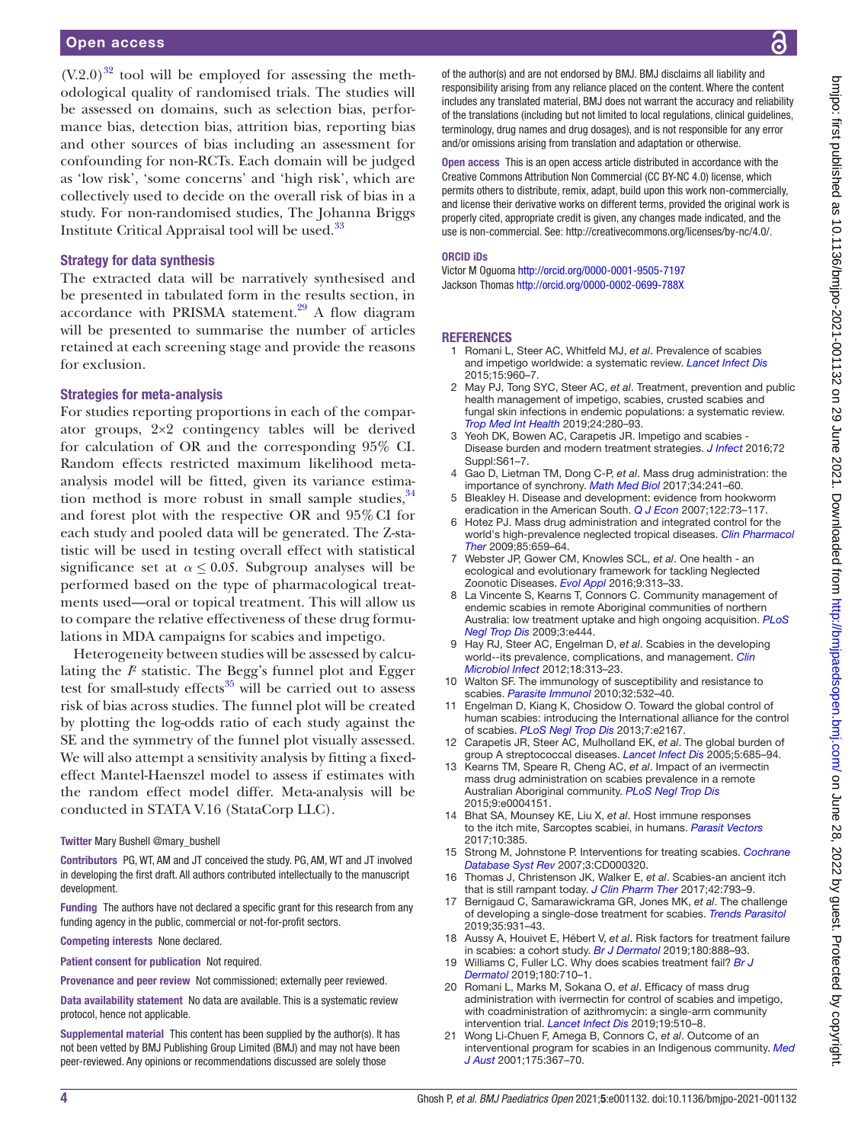#### Open access

 $(V.2.0)^{32}$  tool will be employed for assessing the methodological quality of randomised trials. The studies will be assessed on domains, such as selection bias, performance bias, detection bias, attrition bias, reporting bias and other sources of bias including an assessment for confounding for non-RCTs. Each domain will be judged as 'low risk', 'some concerns' and 'high risk', which are collectively used to decide on the overall risk of bias in a study. For non-randomised studies, The Johanna Briggs Institute Critical Appraisal tool will be used.<sup>33</sup>

#### Strategy for data synthesis

The extracted data will be narratively synthesised and be presented in tabulated form in the results section, in accordance with PRISMA statement.<sup>29</sup> A flow diagram will be presented to summarise the number of articles retained at each screening stage and provide the reasons for exclusion.

#### Strategies for meta-analysis

For studies reporting proportions in each of the comparator groups, 2×2 contingency tables will be derived for calculation of OR and the corresponding 95% CI. Random effects restricted maximum likelihood metaanalysis model will be fitted, given its variance estimation method is more robust in small sample studies,  $34$ and forest plot with the respective OR and 95%CI for each study and pooled data will be generated. The Z-statistic will be used in testing overall effect with statistical significance set at  $\alpha \leq 0.05$ . Subgroup analyses will be performed based on the type of pharmacological treatments used—oral or topical treatment. This will allow us to compare the relative effectiveness of these drug formulations in MDA campaigns for scabies and impetigo.

Heterogeneity between studies will be assessed by calculating the *I*² statistic. The Begg's funnel plot and Egger test for small-study effects $35$  will be carried out to assess risk of bias across studies. The funnel plot will be created by plotting the log-odds ratio of each study against the SE and the symmetry of the funnel plot visually assessed. We will also attempt a sensitivity analysis by fitting a fixedeffect Mantel-Haenszel model to assess if estimates with the random effect model differ. Meta-analysis will be conducted in STATA V.16 (StataCorp LLC).

#### Twitter Mary Bushell [@mary\\_bushell](https://twitter.com/mary_bushell)

Contributors PG, WT, AM and JT conceived the study. PG, AM, WT and JT involved in developing the first draft. All authors contributed intellectually to the manuscript development.

Funding The authors have not declared a specific grant for this research from any funding agency in the public, commercial or not-for-profit sectors.

Competing interests None declared.

Patient consent for publication Not required.

Provenance and peer review Not commissioned; externally peer reviewed.

Data availability statement No data are available. This is a systematic review protocol, hence not applicable.

Supplemental material This content has been supplied by the author(s). It has not been vetted by BMJ Publishing Group Limited (BMJ) and may not have been peer-reviewed. Any opinions or recommendations discussed are solely those

of the author(s) and are not endorsed by BMJ. BMJ disclaims all liability and responsibility arising from any reliance placed on the content. Where the content includes any translated material, BMJ does not warrant the accuracy and reliability of the translations (including but not limited to local regulations, clinical guidelines, terminology, drug names and drug dosages), and is not responsible for any error and/or omissions arising from translation and adaptation or otherwise.

Open access This is an open access article distributed in accordance with the Creative Commons Attribution Non Commercial (CC BY-NC 4.0) license, which permits others to distribute, remix, adapt, build upon this work non-commercially, and license their derivative works on different terms, provided the original work is properly cited, appropriate credit is given, any changes made indicated, and the use is non-commercial. See:<http://creativecommons.org/licenses/by-nc/4.0/>.

#### ORCID iDs

Victor M Oguoma <http://orcid.org/0000-0001-9505-7197> Jackson Thomas <http://orcid.org/0000-0002-0699-788X>

#### **REFERENCES**

- <span id="page-3-1"></span>1 Romani L, Steer AC, Whitfeld MJ, *et al*. Prevalence of scabies and impetigo worldwide: a systematic review. *[Lancet Infect Dis](http://dx.doi.org/10.1016/S1473-3099(15)00132-2)* 2015;15:960–7.
- <span id="page-3-0"></span>2 May PJ, Tong SYC, Steer AC, *et al*. Treatment, prevention and public health management of impetigo, scabies, crusted scabies and fungal skin infections in endemic populations: a systematic review. *[Trop Med Int Health](http://dx.doi.org/10.1111/tmi.13198)* 2019;24:280–93.
- 3 Yeoh DK, Bowen AC, Carapetis JR. Impetigo and scabies Disease burden and modern treatment strategies. *[J Infect](http://dx.doi.org/10.1016/j.jinf.2016.04.024)* 2016;72 Suppl:S61–7.
- <span id="page-3-2"></span>4 Gao D, Lietman TM, Dong C-P, *et al*. Mass drug administration: the importance of synchrony. *[Math Med Biol](http://dx.doi.org/10.1093/imammb/dqw005)* 2017;34:241–60.
- <span id="page-3-3"></span>5 Bleakley H. Disease and development: evidence from hookworm eradication in the American South. *[Q J Econ](http://dx.doi.org/10.1162/qjec.121.1.73)* 2007;122:73–117.
- <span id="page-3-4"></span>6 Hotez PJ. Mass drug administration and integrated control for the world's high-prevalence neglected tropical diseases. *[Clin Pharmacol](http://dx.doi.org/10.1038/clpt.2009.16)  [Ther](http://dx.doi.org/10.1038/clpt.2009.16)* 2009;85:659–64.
- <span id="page-3-5"></span>7 Webster JP, Gower CM, Knowles SCL, *et al*. One health - an ecological and evolutionary framework for tackling Neglected Zoonotic Diseases. *[Evol Appl](http://dx.doi.org/10.1111/eva.12341)* 2016;9:313–33.
- <span id="page-3-6"></span>La Vincente S, Kearns T, Connors C. Community management of endemic scabies in remote Aboriginal communities of northern Australia: low treatment uptake and high ongoing acquisition. *[PLoS](http://dx.doi.org/10.1371/journal.pntd.0000444)  [Negl Trop Dis](http://dx.doi.org/10.1371/journal.pntd.0000444)* 2009;3:e444.
- <span id="page-3-7"></span>9 Hay RJ, Steer AC, Engelman D, *et al*. Scabies in the developing world--its prevalence, complications, and management. *[Clin](http://dx.doi.org/10.1111/j.1469-0691.2012.03798.x)  [Microbiol Infect](http://dx.doi.org/10.1111/j.1469-0691.2012.03798.x)* 2012;18:313–23.
- <span id="page-3-8"></span>10 Walton SF. The immunology of susceptibility and resistance to scabies. *[Parasite Immunol](http://dx.doi.org/10.1111/j.1365-3024.2010.01218.x)* 2010;32:532–40.
- <span id="page-3-9"></span>11 Engelman D, Kiang K, Chosidow O. Toward the global control of human scabies: introducing the International alliance for the control of scabies. *[PLoS Negl Trop Dis](http://dx.doi.org/10.1371/journal.pntd.0002167)* 2013;7:e2167.
- <span id="page-3-10"></span>12 Carapetis JR, Steer AC, Mulholland EK, *et al*. The global burden of group A streptococcal diseases. *[Lancet Infect Dis](http://dx.doi.org/10.1016/S1473-3099(05)70267-X)* 2005;5:685–94.
- <span id="page-3-16"></span>13 Kearns TM, Speare R, Cheng AC, *et al*. Impact of an ivermectin mass drug administration on scabies prevalence in a remote Australian Aboriginal community. *[PLoS Negl Trop Dis](http://dx.doi.org/10.1371/journal.pntd.0004151)* 2015;9:e0004151.
- <span id="page-3-11"></span>14 Bhat SA, Mounsey KE, Liu X, *et al*. Host immune responses to the itch mite, Sarcoptes scabiei, in humans. *[Parasit Vectors](http://dx.doi.org/10.1186/s13071-017-2320-4)* 2017;10:385.
- <span id="page-3-12"></span>15 Strong M, Johnstone P. Interventions for treating scabies. *[Cochrane](http://dx.doi.org/10.1002/14651858.CD000320.pub2)  [Database Syst Rev](http://dx.doi.org/10.1002/14651858.CD000320.pub2)* 2007;3:CD000320.
- <span id="page-3-13"></span>16 Thomas J, Christenson JK, Walker E, *et al*. Scabies-an ancient itch that is still rampant today. *[J Clin Pharm Ther](http://dx.doi.org/10.1111/jcpt.12631)* 2017;42:793–9.
- <span id="page-3-14"></span>17 Bernigaud C, Samarawickrama GR, Jones MK, *et al*. The challenge of developing a single-dose treatment for scabies. *[Trends Parasitol](http://dx.doi.org/10.1016/j.pt.2019.08.002)* 2019;35:931–43.
- 18 Aussy A, Houivet E, Hébert V, *et al*. Risk factors for treatment failure in scabies: a cohort study. *[Br J Dermatol](http://dx.doi.org/10.1111/bjd.17348)* 2019;180:888–93.
- 19 Williams C, Fuller LC. Why does scabies treatment fail? *[Br J](http://dx.doi.org/10.1111/bjd.17612)  [Dermatol](http://dx.doi.org/10.1111/bjd.17612)* 2019;180:710–1.
- <span id="page-3-15"></span>20 Romani L, Marks M, Sokana O, *et al*. Efficacy of mass drug administration with ivermectin for control of scabies and impetigo, with coadministration of azithromycin: a single-arm community intervention trial. *[Lancet Infect Dis](http://dx.doi.org/10.1016/S1473-3099(18)30790-4)* 2019;19:510–8.
- 21 Wong Li‐Chuen F, Amega B, Connors C, *et al*. Outcome of an interventional program for scabies in an Indigenous community. *[Med](http://dx.doi.org/10.5694/j.1326-5377.2001.tb143620.x)  [J Aust](http://dx.doi.org/10.5694/j.1326-5377.2001.tb143620.x)* 2001;175:367–70.